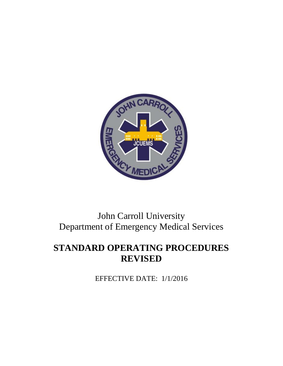

# John Carroll University Department of Emergency Medical Services

# **STANDARD OPERATING PROCEDURES REVISED**

EFFECTIVE DATE: 1/1/2016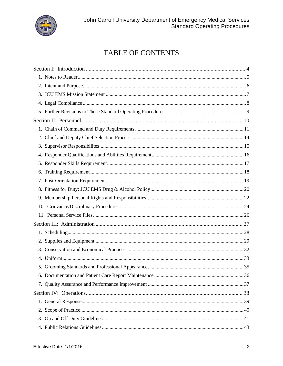

# TABLE OF CONTENTS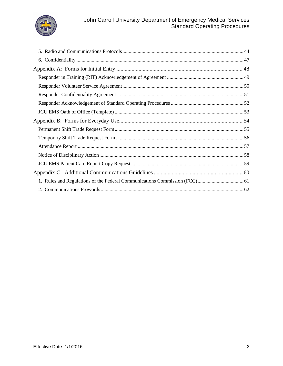

### John Carroll University Department of Emergency Medical Services Standard Operating Procedures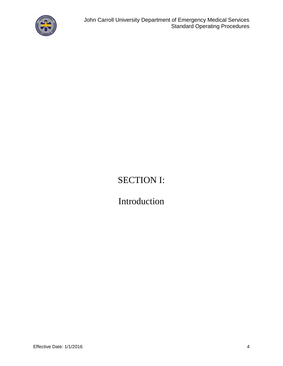

# SECTION I:

# Introduction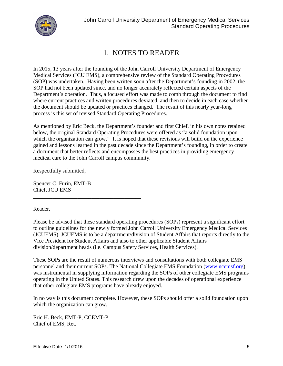

## 1. NOTES TO READER

In 2015, 13 years after the founding of the John Carroll University Department of Emergency Medical Services (JCU EMS), a comprehensive review of the Standard Operating Procedures (SOP) was undertaken. Having been written soon after the Department's founding in 2002, the SOP had not been updated since, and no longer accurately reflected certain aspects of the Department's operation. Thus, a focused effort was made to comb through the document to find where current practices and written procedures deviated, and then to decide in each case whether the document should be updated or practices changed. The result of this nearly year-long process is this set of revised Standard Operating Procedures.

As mentioned by Eric Beck, the Department's founder and first Chief, in his own notes retained below, the original Standard Operating Procedures were offered as "a solid foundation upon which the organization can grow." It is hoped that these revisions will build on the experience gained and lessons learned in the past decade since the Department's founding, in order to create a document that better reflects and encompasses the best practices in providing emergency medical care to the John Carroll campus community.

Respectfully submitted,

Spencer C. Furin, EMT-B Chief, JCU EMS

\_\_\_\_\_\_\_\_\_\_\_\_\_\_\_\_\_\_\_\_\_\_\_\_\_\_\_\_\_\_\_\_\_\_\_\_\_\_\_

Reader,

Please be advised that these standard operating procedures (SOPs) represent a significant effort to outline guidelines for the newly formed John Carroll University Emergency Medical Services (JCUEMS). JCUEMS is to be a department/division of Student Affairs that reports directly to the Vice President for Student Affairs and also to other applicable Student Affairs division/department heads (i.e. Campus Safety Services, Health Services).

These SOPs are the result of numerous interviews and consultations with both collegiate EMS personnel and their current SOPs. The National Collegiate EMS Foundation (www.ncemsf.org) was instrumental in supplying information regarding the SOPs of other collegiate EMS programs operating in the United States. This research drew upon the decades of operational experience that other collegiate EMS programs have already enjoyed.

In no way is this document complete. However, these SOPs should offer a solid foundation upon which the organization can grow.

Eric H. Beck, EMT-P, CCEMT-P Chief of EMS, Ret.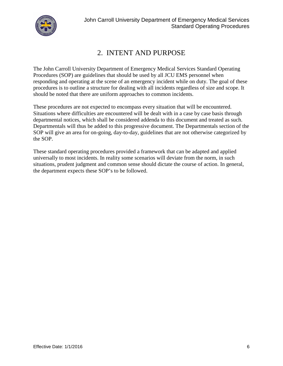

# 2. INTENT AND PURPOSE

The John Carroll University Department of Emergency Medical Services Standard Operating Procedures (SOP) are guidelines that should be used by all JCU EMS personnel when responding and operating at the scene of an emergency incident while on duty. The goal of these procedures is to outline a structure for dealing with all incidents regardless of size and scope. It should be noted that there are uniform approaches to common incidents.

These procedures are not expected to encompass every situation that will be encountered. Situations where difficulties are encountered will be dealt with in a case by case basis through departmental notices, which shall be considered addenda to this document and treated as such. Departmentals will thus be added to this progressive document. The Departmentals section of the SOP will give an area for on-going, day-to-day, guidelines that are not otherwise categorized by the SOP.

These standard operating procedures provided a framework that can be adapted and applied universally to most incidents. In reality some scenarios will deviate from the norm, in such situations, prudent judgment and common sense should dictate the course of action. In general, the department expects these SOP's to be followed.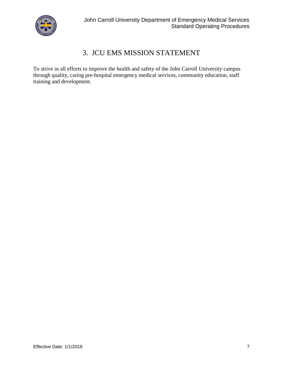

### 3. JCU EMS MISSION STATEMENT

To strive in all efforts to improve the health and safety of the John Carroll University campus through quality, caring pre-hospital emergency medical services, community education, staff training and development.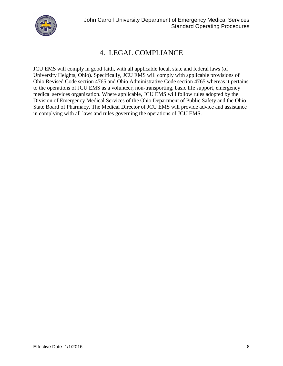

# 4. LEGAL COMPLIANCE

JCU EMS will comply in good faith, with all applicable local, state and federal laws (of University Heights, Ohio). Specifically, JCU EMS will comply with applicable provisions of Ohio Revised Code section 4765 and Ohio Administrative Code section 4765 whereas itpertains to the operations of JCU EMS as a volunteer, non-transporting, basic life support, emergency medical services organization. Where applicable, JCU EMS will follow rules adopted by the Division of Emergency Medical Services of the Ohio Department of Public Safety and the Ohio State Board of Pharmacy. The Medical Director of JCU EMS will provide advice and assistance in complying with all laws and rules governing the operations of JCU EMS.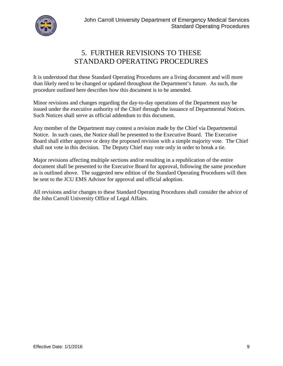

## 5. FURTHER REVISIONS TO THESE STANDARD OPERATING PROCEDURES

It is understood that these Standard Operating Procedures are a living document and will more than likely need to be changed or updated throughout the Department's future. As such, the procedure outlined here describes how this document is to be amended.

Minor revisions and changes regarding the day-to-day operations of the Department may be issued under the executive authority of the Chief through the issuance of Departmental Notices. Such Notices shall serve as official addendum to this document.

Any member of the Department may contest a revision made by the Chief via Departmental Notice. In such cases, the Notice shall be presented to the Executive Board. The Executive Board shall either approve or deny the proposed revision with a simple majority vote. The Chief shall not vote in this decision. The Deputy Chief may vote only in order to break a tie.

Major revisions affecting multiple sections and/or resulting in a republication of the entire document shall be presented to the Executive Board for approval, following the same procedure as is outlined above. The suggested new edition of the Standard Operating Procedures will then be sent to the JCU EMS Advisor for approval and official adoption.

All revisions and/or changes to these Standard Operating Procedures shall consider the advice of the John Carroll University Office of Legal Affairs.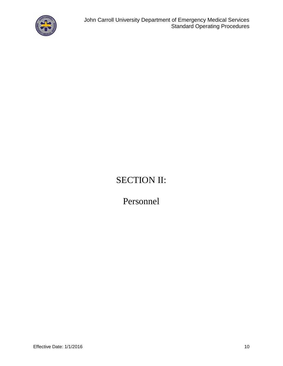

# SECTION II:

Personnel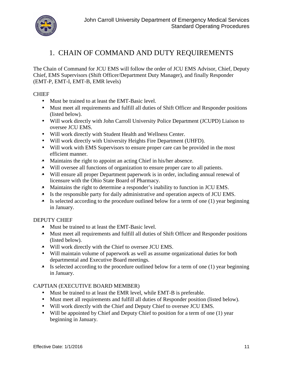

## 1. CHAIN OF COMMAND AND DUTY REQUIREMENTS

The Chain of Command for JCU EMS will follow the order of JCU EMS Advisor, Chief, Deputy Chief, EMS Supervisors (Shift Officer/Department Duty Manager), and finally Responder (EMT-P, EMT-I, EMT-B, EMR levels)

### **CHIEF**

- Must be trained to at least the EMT-Basic level.
- Must meet all requirements and fulfill all duties of Shift Officer and Responder positions (listed below).
- Will work directly with John Carroll University Police Department (JCUPD) Liaison to oversee JCU EMS.
- Will work directly with Student Health and Wellness Center.
- Will work directly with University Heights Fire Department (UHFD).
- Will work with EMS Supervisors to ensure proper care can be provided in the most efficient manner.
- Maintains the right to appoint an acting Chief in his/her absence.
- Will oversee all functions of organization to ensure proper care to all patients.
- $\bullet$  Will ensure all proper Department paperwork is in order, including annual renewal of licensure with the Ohio State Board of Pharmacy.
- Maintains the right to determine a responder's inability to function in JCU EMS.
- Is the responsible party for daily administrative and operation aspects of JCU EMS.
- $\bullet$  Is selected according to the procedure outlined below for a term of one (1) year beginning in January.

### DEPUTY CHIEF

- Must be trained to at least the EMT-Basic level.
- Must meet all requirements and fulfill all duties of Shift Officer and Responder positions (listed below).
- Will work directly with the Chief to oversee JCU EMS.
- Will maintain volume of paperwork as well as assume organizational duties for both departmental and Executive Board meetings.
- $\bullet$  Is selected according to the procedure outlined below for a term of one (1) year beginning in January.

### CAPTIAN (EXECUTIVE BOARD MEMBER)

- Must be trained to at least the EMR level, while EMT-B is preferable.
- Must meet all requirements and fulfill all duties of Responder position (listed below).
- Will work directly with the Chief and Deputy Chief to oversee JCU EMS.
- Will be appointed by Chief and Deputy Chief to position for a term of one (1) year beginning in January.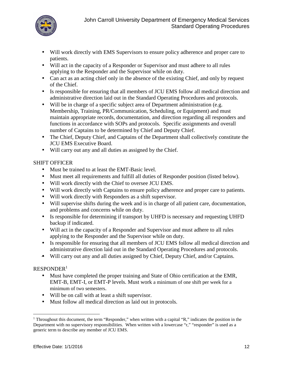

- Will work directly with EMS Supervisors to ensure policy adherence and proper care to patients.
- Will act in the capacity of a Responder or Supervisor and must adhere to all rules applying to the Responder and the Supervisor while on duty.
- Can act as an acting chief only in the absence of the existing Chief, and only by request of the Chief.
- Is responsible for ensuring that all members of JCU EMS follow all medical direction and administrative direction laid out in the Standard Operating Procedures and protocols.
- Will be in charge of a specific subject area of Department administration (e.g. Membership, Training, PR/Communication, Scheduling, or Equipment) and must maintain appropriate records, documentation, and direction regarding all responders and functions in accordance with SOPs and protocols. Specific assignments and overall number of Captains to be determined by Chief and Deputy Chief.
- The Chief, Deputy Chief, and Captains of the Department shall collectively constitute the JCU EMS Executive Board.
- Will carry out any and all duties as assigned by the Chief.

### SHIFT OFFICER

- Must be trained to at least the EMT-Basic level.
- Must meet all requirements and fulfill all duties of Responder position (listed below).
- Will work directly with the Chief to oversee JCU EMS.
- Will work directly with Captains to ensure policy adherence and proper care to patients.
- Will work directly with Responders as a shift supervisor.
- Will supervise shifts during the week and is in charge of all patient care, documentation, and problems and concerns while on duty.
- Is responsible for determining if transport by UHFD is necessary and requesting UHFD backup if indicated.
- Will act in the capacity of a Responder and Supervisor and must adhere to all rules applying to the Responder and the Supervisor while on duty.
- Is responsible for ensuring that all members of JCU EMS follow all medical direction and administrative direction laid out in the Standard Operating Procedures and protocols.
- Will carry out any and all duties assigned by Chief, Deputy Chief, and/or Captains.

### $RESPONDER<sup>1</sup>$

- Must have completed the proper training and State of Ohio certification at the EMR, EMT-B, EMT-I, or EMT-P levels. Must work aminimum of one shift per week for a minimum of two semesters.
- Will be on callwith at least a shift supervisor.
- Must follow all medical direction as laid out in protocols.

<sup>&</sup>lt;sup>1</sup> Throughout this document, the term "Responder," when written with a capital "R," indicates the position in the Department with no supervisory responsibilities. When written with a lowercase "r," "responder" is used as a generic term to describe any member of JCU EMS.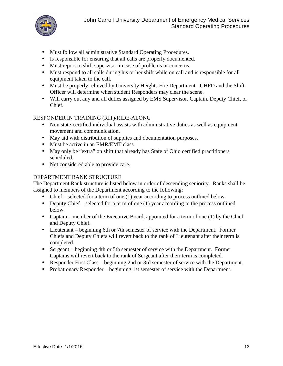

- Must follow all administrative Standard Operating Procedures.
- Is responsible for ensuring that all calls are properly documented.
- Must report to shift supervisor in case of problems or concerns.
- Must respond to all calls during his or her shift while on calland is responsible for all equipment taken to the call.
- Must be properly relieved by University Heights Fire Department. UHFD and the Shift Officer will determine when student Responders may clear the scene.
- Will carry out any and all duties assigned by EMS Supervisor, Captain, Deputy Chief, or Chief.

### RESPONDER IN TRAINING (RIT)/RIDE-ALONG

- Non state-certified individual assists with administrative duties as well as equipment movement and communication.
- May aid with distribution of supplies and documentation purposes.
- Must be active in an EMR/EMT class.
- May only be "extra" on shift that already has State of Ohio certified practitioners scheduled.
- Not considered able to provide care.

### DEPARTMENT RANK STRUCTURE

The Department Rank structure is listed below in order of descending seniority. Ranks shall be assigned to members of the Department according to the following:

- Chief selected for a term of one (1) year according to process outlined below.
- Deputy Chief selected for a term of one  $(1)$  year according to the process outlined below.
- Captain member of the Executive Board, appointed for a term of one  $(1)$  by the Chief and Deputy Chief.
- Lieutenant beginning 6th or 7th semester of service with the Department. Former Chiefs and Deputy Chiefs will revert back to the rank of Lieutenant after their term is completed.
- Sergeant beginning 4th or 5th semester of service with the Department. Former Captains will revert back to the rank of Sergeant after their term is completed.
- Responder First Class beginning 2nd or 3rd semester of service with the Department.
- Probationary Responder beginning 1st semester of service with the Department.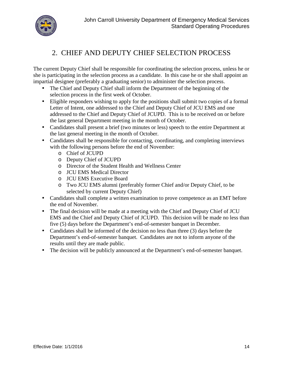

## 2. CHIEF AND DEPUTY CHIEF SELECTION PROCESS

The current Deputy Chief shall be responsible for coordinating the selection process, unless he or she is participating in the selection process as a candidate. In this case he or she shall appoint an impartial designee (preferably a graduating senior) to administer the selection process.

- The Chief and Deputy Chief shall inform the Department of the beginning of the selection process in the first week of October.
- Eligible responders wishing to apply for the positions shall submit two copies of a formal Letter of Intent, one addressed to the Chief and Deputy Chief of JCU EMS and one addressed to the Chief and Deputy Chief of JCUPD. This is to be received on or before the last general Department meeting in the month of October.
- Candidates shall present a brief (two minutes or less) speech to the entire Department at the last general meeting in the month of October.
- Candidates shall be responsible for contacting, coordinating, and completing interviews with the following persons before the end of November:
	- o Chief of JCUPD
	- o Deputy Chief of JCUPD
	- o Director of the Student Health and Wellness Center
	- o JCU EMS Medical Director
	- o JCU EMS Executive Board
	- o Two JCU EMS alumni (preferably former Chief and/or Deputy Chief, to be selected by current Deputy Chief)
- Candidates shall complete a written examination to prove competence as an EMT before the end of November.
- The final decision will be made at a meeting with the Chief and Deputy Chief of JCU EMS and the Chief and Deputy Chief of JCUPD. This decision will be made no less than five (5) days before the Department's end-of-semester banquet in December.
- Candidates shall be informed of the decision no less than three (3) days before the Department's end-of-semester banquet. Candidates are not to inform anyone of the results until they are made public.
- The decision will be publicly announced at the Department's end-of-semester banquet.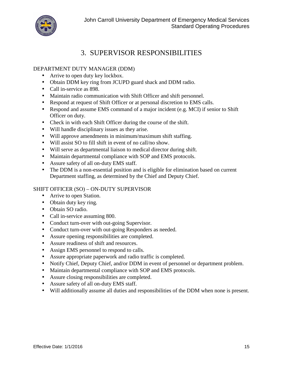

### 3. SUPERVISOR RESPONSIBILITIES

### DEPARTMENT DUTY MANAGER (DDM)

- Arrive to open duty key lockbox.
- Obtain DDM key ring from JCUPD guard shack and DDM radio.
- Call in-service as 898.
- Maintain radio communication with Shift Officer and shift personnel.
- Respond at request of Shift Officer or at personal discretion to EMS calls.
- Respond and assume EMS command of a major incident (e.g. MCI) if senior to Shift Officer on duty.
- Check in with each Shift Officer during the course of the shift.
- Will handle disciplinary issues as they arise.
- Will approve amendments in minimum/maximum shift staffing.
- Will assist SO to fill shift in event of no call/no show.
- Will serve as departmental liaison to medical director during shift.
- Maintain departmental compliance with SOP and EMS protocols.
- Assure safety of all on-duty EMS staff.
- The DDM is a non-essential position and is eligible for elimination based on current Department staffing, as determined by the Chief and Deputy Chief.

### SHIFT OFFICER (SO) – ON-DUTY SUPERVISOR

- Arrive to open Station.
- Obtain duty key ring.
- Obtain SO radio.
- Call in-service assuming 800.
- Conduct turn-over with out-going Supervisor.
- Conduct turn-over with out-going Responders as needed.
- Assure opening responsibilities are completed.
- Assure readiness of shift and resources.
- Assign EMS personnel to respond to calls.
- Assure appropriate paperwork and radio traffic is completed.
- Notify Chief, Deputy Chief, and/or DDM in event of personnel or department problem.
- Maintain departmental compliance with SOP and EMS protocols.
- Assure closing responsibilities are completed.
- Assure safety of all on-duty EMS staff.
- Will additionally assume allduties and responsibilities of the DDM when none is present.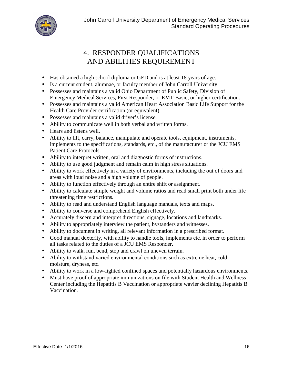

# 4. RESPONDER QUALIFICATIONS AND ABILITIES REQUIREMENT

- Has obtained a high school diploma or GED and is at least 18 years of age.
- Is a current student, alumnae, or faculty member of John Carroll University.
- Possesses and maintains a valid Ohio Department of Public Safety, Division of Emergency Medical Services, First Responder, or EMT-Basic, or higher certification.
- Possesses and maintains a valid American Heart Association Basic Life Support for the Health Care Provider certification (or equivalent).
- Possesses and maintains a valid driver's license.
- Ability to communicate well in both verbal and written forms.
- Hears and listens well.
- Ability to lift, carry, balance, manipulate and operate tools, equipment, instruments, implements to the specifications, standards, etc., of the manufacturer or the JCU EMS Patient Care Protocols.
- Ability to interpret written, oral and diagnostic forms of instructions.
- Ability to use good judgment and remain calm in high stress situations.
- Ability to work effectively in a variety of environments, including the out of doors and areas with loud noise and a high volume of people.
- Ability to function effectively through an entire shift or assignment.
- Ability to calculate simple weight and volume ratios and read small print both under life threatening time restrictions.
- Ability to read and understand English language manuals, texts and maps.
- Ability to converse and comprehend English effectively.
- Accurately discern and interpret directions, signage, locations and landmarks.
- Ability to appropriately interview the patient, bystanders and witnesses.
- Ability to document in writing, all relevant information in a prescribed format.
- Good manual dexterity, with ability to handle tools, implements etc. in order to perform all tasks related to the duties of a JCU EMS Responder.
- Ability to walk, run, bend, stop and crawl on uneven terrain.
- Ability to withstand varied environmental conditions such as extreme heat, cold, moisture, dryness, etc.
- Ability to work in a low-lighted confined spaces and potentially hazardous environments.
- Must have proof of appropriate immunizations on file with Student Health and Wellness Center including the Hepatitis B Vaccination or appropriate wavier declining Hepatitis B Vaccination.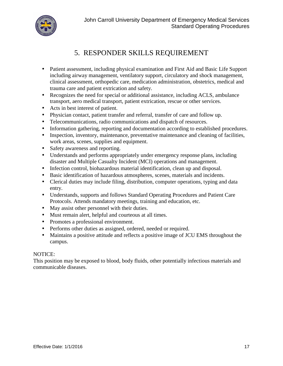

## 5. RESPONDER SKILLS REQUIREMENT

- Patient assessment, including physical examination and First Aid and Basic Life Support including airway management, ventilatory support, circulatory and shock management, clinical assessment, orthopedic care, medication administration, obstetrics, medical and trauma care and patient extrication and safety.
- Recognizes the need for special or additional assistance, including ACLS, ambulance transport, aero medical transport, patient extrication, rescue or other services.
- Acts in best interest of patient.
- Physician contact, patient transfer and referral, transfer of care and follow up.
- Telecommunications, radio communications and dispatch of resources.
- Information gathering, reporting and documentation according to established procedures.
- Inspection, inventory, maintenance, preventative maintenance and cleaning of facilities, work areas, scenes, supplies and equipment.
- Safety awareness and reporting.
- Understands and performs appropriately under emergency response plans, including disaster and Multiple Casualty Incident (MCI) operations and management.
- Infection control, biohazardous material identification, clean up and disposal.
- Basic identification of hazardous atmospheres, scenes, materials and incidents.
- Clerical duties may include filing, distribution, computer operations, typing and data entry.
- Understands, supports and follows Standard Operating Procedures and Patient Care Protocols. Attends mandatory meetings, training and education, etc.
- May assist other personnel with their duties.
- Must remain alert, helpful and courteous at all times.
- Promotes a professional environment.
- Performs other duties as assigned, ordered, needed or required.
- Maintains a positive attitude and reflects a positive image of JCU EMS throughout the campus.

### NOTICE:

This position may be exposed to blood, body fluids, other potentially infectious materials and communicable diseases.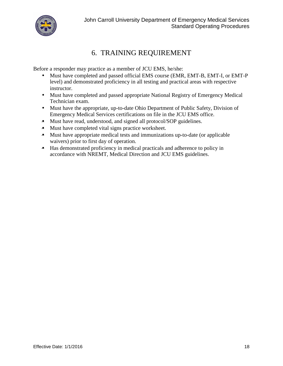

## 6. TRAINING REQUIREMENT

Before a responder may practice as a member of JCU EMS, he/she:

- Must have completed and passed official EMS course (EMR, EMT-B, EMT-I, or EMT-P) level) and demonstrated proficiency in all testing and practical areas with respective instructor.
- Must have completed and passed appropriate National Registry of Emergency Medical Technician exam.
- Must have the appropriate, up-to-date Ohio Department of Public Safety, Division of Emergency Medical Services certifications on file in the JCU EMS office.
- Must have read, understood, and signed all protocol/SOP guidelines.
- Must have completed vital signs practice worksheet.
- Must have appropriate medical tests and immunizations up-to-date (or applicable waivers) prior to first day of operation.
- Has demonstrated proficiency in medical practicals and adherence to policy in accordance with NREMT, Medical Direction and JCU EMS guidelines.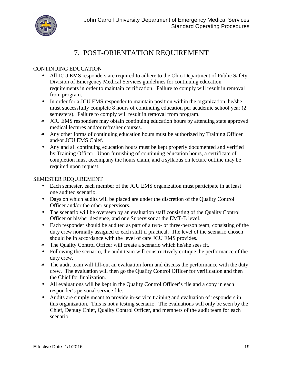

## 7. POST-ORIENTATION REQUIREMENT

### CONTINUING EDUCATION

- All JCU EMS responders are required to adhere to the Ohio Department of Public Safety, Division of Emergency Medical Services guidelines for continuing education requirements in order to maintain certification. Failure to comply will result in removal from program.
- In order for a JCU EMS responder to maintain position within the organization, he/she must successfully complete 8 hours of continuing education per academic school year (2 semesters). Failure to comply will result in removal from program.
- JCU EMS responders may obtain continuing education hours by attending state approved medical lectures and/or refresher courses.
- Any other forms of continuing education hours must be authorized by Training Officer and/or JCU EMS Chief.
- Any and all continuing education hours must be kept properly documented and verified by Training Officer. Upon furnishing of continuing education hours, a certificate of completion must accompany the hours claim, and a syllabus on lecture outline may be required upon request.

### SEMESTER REQUIREMENT

- Each semester, each member of the JCU EMS organization must participate in at least one audited scenario.
- Days on which audits will be placed are under the discretion of the Quality Control Officer and/or the other supervisors.
- The scenario will be overseen by an evaluation staff consisting of the Quality Control Officer or his/her designee, and one Supervisor at the EMT-B level.
- Each responder should be audited as part of a two- or three-person team, consisting of the duty crew normally assigned to each shift if practical. The level of the scenario chosen should be in accordance with the level of care JCU EMS provides.
- The Quality Control Officer will create a scenario which he/she sees fit.
- Following the scenario, the audit team will constructively critique the performance of the duty crew.
- The audit team will fill-out an evaluation form and discuss the performance with the duty crew. The evaluation will then go the Quality Control Officer for verification and then the Chief for finalization.
- All evaluations will be kept in the Quality Control Officer's file and a copy in each responder's personal service file.
- Audits are simply meant to provide in-service training and evaluation of responders in this organization. This is not a testing scenario. The evaluations will only be seen by the Chief, Deputy Chief, Quality Control Officer, and members of the audit team for each scenario.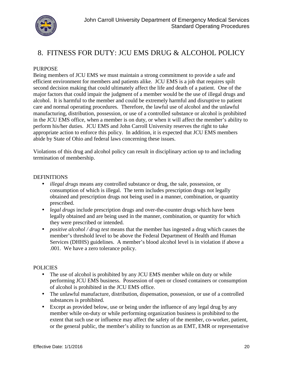

### 8. FITNESS FOR DUTY: JCU EMS DRUG & ALCOHOL POLICY

### PURPOSE

Being members of JCU EMS we must maintain a strong commitment to provide a safe and efficient environment for members and patients alike. JCU EMS is a job that requires spilt second decision making that could ultimately affect the life and death of a patient. One of the major factors that could impair the judgment of a member would be the use of illegal drugs and alcohol. It is harmful to the member and could be extremely harmful and disruptive to patient care and normal operating procedures. Therefore, the lawful use of alcohol and the unlawful manufacturing, distribution, possession, or use of a controlled substance or alcohol is prohibited in the JCU EMS office, when a member is on duty, or when it will affect the member's ability to perform his/her duties. JCU EMS and John Carroll University reserves the right to take appropriate action to enforce this policy. In addition, it is expected that JCU EMS members abide by State of Ohio and federal laws concerning these issues.

Violations of this drug and alcohol policy can result in disciplinary action up to and including termination of membership.

#### **DEFINITIONS**

- *illegal drugs* means any controlled substance or drug, the sale, possession, or consumption of which is illegal. The term includes prescription drugs not legally obtained and prescription drugs not being used in a manner, combination, or quantity prescribed.
- *legal drugs* include prescription drugs and over-the-counter drugs which have been legally obtained and are being used in the manner, combination, or quantity for which they were prescribed or intended.
- *positive alcohol / drug test*means that the member has ingested a drug which causes the member's threshold level to be above the Federal Department of Health and Human Services (DHHS) guidelines. A member's blood alcohol level is in violation if above a .001. We have a zero tolerance policy.

#### **POLICIES**

- The use of alcohol is prohibited by any JCU EMS member while on duty or while performing JCU EMS business. Possession of open or closed containers or consumption of alcohol is prohibited in the JCU EMS office.
- The unlawful manufacture, distribution, dispensation, possession, or use of a controlled substances is prohibited.
- Except as provided below, use or being under the influence of any legal drug by any member while on-duty or while performing organization business is prohibited to the extent that such use or influence may affect the safety of the member, co-worker, patient, or the general public, the member's ability to function as an EMT, EMR or representative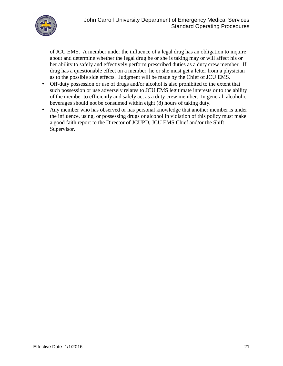

of JCU EMS. A member under the influence of a legal drug has an obligation to inquire about and determine whether the legal drug he or she is taking may or will affect his or her ability to safely and effectively perform prescribed duties as a duty crew member. If drug has a questionable effect on a member, he or she must get a letter from a physician as to the possible side effects. Judgment will be made by the Chief of JCU EMS.

- Off-duty possession or use of drugs and/or alcohol is also prohibited to the extent that such possession or use adversely relates to JCU EMS legitimate interests or to the ability of the member to efficiently and safely act as a duty crew member. In general, alcoholic beverages should not be consumed within eight (8) hours of taking duty.
- Any member who has observed or has personal knowledge that another member is under the influence, using, or possessing drugs or alcohol in violation of this policy must make a good faith report to the Director of JCUPD, JCU EMS Chief and/or the Shift Supervisor.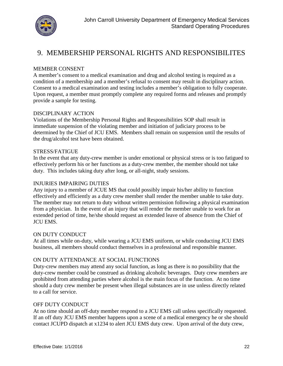

### 9. MEMBERSHIP PERSONAL RIGHTS AND RESPONSIBILITES

#### MEMBER CONSENT

A member's consent to a medical examination and drug and alcohol testing is required as a condition of a membership and a member's refusal to consent may result in disciplinary action. Consent to a medical examination and testing includes a member's obligation to fully cooperate. Upon request, a member must promptly complete any required forms and releases and promptly provide a sample for testing.

#### DISCIPLINARY ACTION

Violations of the Membership Personal Rights and Responsibilities SOP shall result in immediate suspension of the violating member and initiation of judiciary process to be determined by the Chief of JCU EMS. Members shall remain on suspension until the results of the drug/alcohol test have been obtained.

#### STRESS/FATIGUE

In the event that any duty-crew member is under emotional or physical stress or is too fatigued to effectively perform his or her functions as a duty-crew member, the member should not take duty. This includes taking duty after long, or all-night, study sessions.

#### INJURIES IMPAIRING DUTIES

Any injury to a member of JCUE MS that could possibly impair his/her ability to function effectively and efficiently as a duty crew member shall render the member unable to take duty. The member may not return to duty without written permission following a physical examination from a physician. In the event of an injury that will render the member unable to work for an extended period of time, he/she should request an extended leave of absence from the Chief of JCU EMS.

#### ON DUTY CONDUCT

At all times while on-duty, while wearing a JCU EMS uniform, or while conducting JCU EMS business, all members should conduct themselves in a professional and responsible manner.

#### ON DUTY ATTENDANCE AT SOCIAL FUNCTIONS

Duty-crew members may attend any social function, as long as there is no possibility that the duty-crew member could be construed as drinking alcoholic beverages. Duty crew members are prohibited from attending parties where alcohol is the main focus of the function. At no time should a duty crew member be present when illegal substances are in use unless directly related to a call for service.

#### OFF DUTY CONDUCT

At no time should an off-duty member respond to a JCU EMS call unless specifically requested. If an off duty JCU EMS member happens upon a scene of a medical emergency he or she should contact JCUPD dispatch at x1234 to alert JCU EMS duty crew. Upon arrival of the duty crew,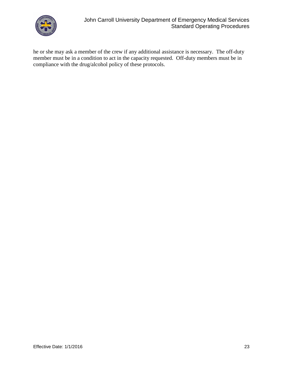

he or she may ask a member of the crew if any additional assistance is necessary. The off-duty member must be in a condition to act in the capacity requested. Off-duty members must be in compliance with the drug/alcohol policy of these protocols.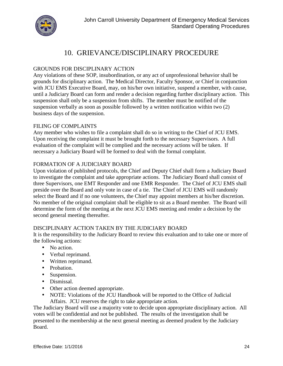

### 10. GRIEVANCE/DISCIPLINARY PROCEDURE

### GROUNDS FOR DISCIPLINARY ACTION

Any violations of these SOP, insubordination, or any act of unprofessional behavior shall be grounds for disciplinary action. The Medical Director, Faculty Sponsor, or Chief in conjunction with JCU EMS Executive Board, may, on his/her own initiative, suspend a member, with cause, until a Judiciary Board can form and render a decision regarding further disciplinary action. This suspension shall only be a suspension from shifts. The member must be notified of the suspension verbally as soon as possible followed by a written notification within two (2) business days of the suspension.

### FILING OF COMPLAINTS

Any member who wishes to file a complaint shall do so in writing to the Chief of JCU EMS. Upon receiving the complaint it must be brought forth to the necessary Supervisors. A full evaluation of the complaint will be complied and the necessary actions will be taken. If necessary a Judiciary Board will be formed to deal with the formal complaint.

### FORMATION OF A JUDICIARY BOARD

Upon violation of published protocols, the Chief and Deputy Chief shall form a Judiciary Board to investigate the complaint and take appropriate actions. The Judiciary Board shall consist of three Supervisors, one EMT Responder and one EMR Responder. The Chief of JCU EMS shall preside over the Board and only vote in case of a tie. The Chief of JCU EMS will randomly select the Board and if no one volunteers, the Chief may appoint members at his/her discretion. No member of the original complaint shall be eligible to sit as a Board member. The Board will determine the form of the meeting at the next JCU EMS meeting and render a decision by the second general meeting thereafter.

### DISCIPLINARY ACTION TAKEN BY THE JUDICIARY BOARD

It is the responsibility to the Judiciary Board to review this evaluation and to take one or more of the following actions:

- No action.
- Verbal reprimand.
- Written reprimand.
- Probation.
- Suspension.
- Dismissal.
- Other action deemed appropriate.
- NOTE: Violations of the JCU Handbook will be reported to the Office of Judicial Affairs. JCU reserves the right to take appropriate action.

The Judiciary Board will use a majority vote to decide upon appropriate disciplinary action. All votes will be confidential and not be published. The results of the investigation shall be presented to the membership at the next general meeting as deemed prudent by the Judiciary Board.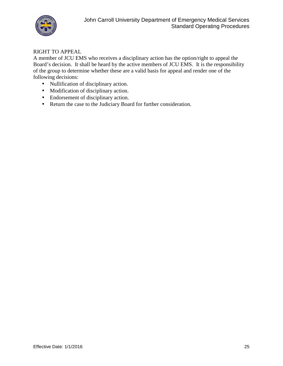

### RIGHT TO APPEAL

A member of JCU EMS who receives a disciplinary action has the option/right to appeal the Board's decision. It shall be heard by the active members of JCU EMS. It is the responsibility of the group to determine whether these are a valid basis for appeal and render one of the following decisions:

- Nullification of disciplinary action.
- Modification of disciplinary action.
- Endorsement of disciplinary action.
- Return the case to the Judiciary Board for further consideration.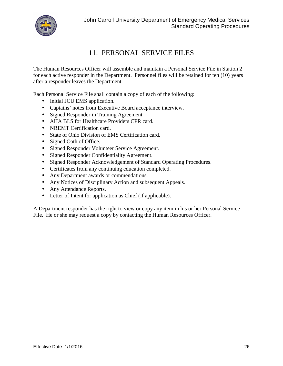

### 11. PERSONAL SERVICE FILES

The Human Resources Officer will assemble and maintain a Personal Service File in Station 2 for each active responder in the Department. Personnel files will be retained for ten (10) years after a responder leaves the Department.

Each Personal Service File shall contain a copy of each of the following:

- Initial JCU EMS application.
- Captains' notes from Executive Board acceptance interview.
- Signed Responder in Training Agreement
- AHA BLS for Healthcare Providers CPR card.
- NREMT Certification card.
- State of Ohio Division of EMS Certification card.
- Signed Oath of Office.
- Signed Responder Volunteer Service Agreement.
- Signed Responder Confidentiality Agreement.
- Signed Responder Acknowledgement of Standard Operating Procedures.
- Certificates from any continuing education completed.
- Any Department awards or commendations.
- Any Notices of Disciplinary Action and subsequent Appeals.
- Any Attendance Reports.
- Letter of Intent for application as Chief (if applicable).

A Department responder has the right to view or copy any item in his or her Personal Service File. He or she may request a copy by contacting the Human Resources Officer.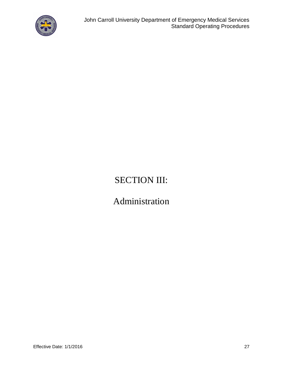

# SECTION III:

# Administration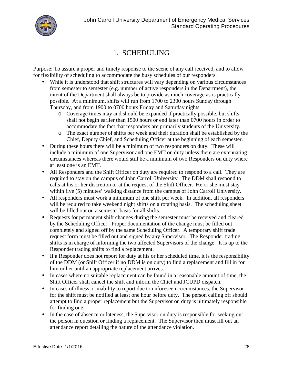

### 1. SCHEDULING

Purpose: To assure a proper and timely response to the scene of any call received, and to allow for flexibility of scheduling to accommodate the busy schedules of our responders.

- While it is understood that shift structures will vary depending on various circumstances from semester to semester (e.g. number of active responders in the Department), the intent of the Department shall always be to provide as much coverage as is practically possible. At a minimum, shifts will run from 1700 to 2300 hours Sunday through Thursday, and from 1900 to 0700 hours Friday and Saturday nights.
	- o Coverage times may and should be expanded if practically possible, but shifts shall not begin earlier than 1500 hours or end later than 0700 hours in order to accommodate the fact that responders are primarily students of the University.
	- o The exact number of shifts per week and their duration shall be established by the Chief, Deputy Chief, and Scheduling Officer at the beginning of each semester.
- During these hours there will be a minimum of two responders on duty. These will include a minimum of one Supervisor and one EMT on duty unless there are extenuating circumstances whereas there would still be a minimum of two Responders on duty where at least one is an EMT.
- All Responders and the Shift Officer on duty are required to respond to a call. They are required to stay on the campus of John Carroll University. The DDM shall respond to calls at his or her discretion or at the request of the Shift Officer. He or she must stay within five (5) minutes' walking distance from the campus of John Carroll University.
- All responders must work a minimum of one shift per week. In addition, all responders will be required to take weekend night shifts on a rotating basis. The scheduling sheet will be filled out on a semester basis for all shifts.
- Requests for permanent shift changes during the semester must be received and cleared by the Scheduling Officer. Proper documentation of the change must be filled out completely and signed off by the same Scheduling Officer. A temporary shift trade request form must be filled out and signed by any Supervisor. The Responder trading shifts is in charge of informing the two affected Supervisors of the change. It is up to the Responder trading shifts to find a replacement.
- If a Responder does not report for duty at his or her scheduled time, it is the responsibility of the DDM (or Shift Officer if no DDM is on duty) to find a replacement and fill in for him or her until an appropriate replacement arrives.
- In cases where no suitable replacement can be found in a reasonable amount of time, the Shift Officer shall cancel the shift and inform the Chief and JCUPD dispatch.
- In cases of illness or inability to report due to unforeseen circumstances, the Supervisor for the shift must be notified at least one hour before duty. The person calling off should attempt to find a proper replacement but the Supervisor on duty is ultimately responsible for finding one.
- In the case of absence or lateness, the Supervisor on duty is responsible for seeking out the person in question or finding a replacement. The Supervisor then must fill out an attendance report detailing the nature of the attendance violation.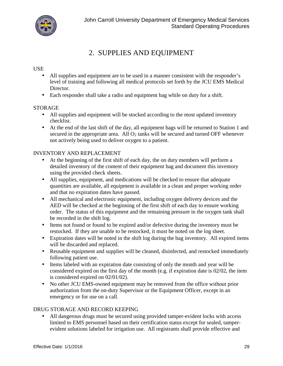

## 2. SUPPLIES AND EQUIPMENT

### USE

- All supplies and equipment are to be used in a manner consistent with the responder's level of training and following all medical protocols set forth by the JCU EMS Medical Director.
- Each responder shall take a radio and equipment bag while on duty for a shift.

### STORAGE

- All supplies and equipment will be stocked according to the most updated inventory checklist.
- At the end of the last shift of the day, all equipment bags will be returned to Station 1 and secured in the appropriate area. All  $O_2$  tanks will be secured and turned OFF whenever not actively being used to deliver oxygen to a patient.

### INVENTORY AND REPLACEMENT

- At the beginning of the first shift of each day, the on duty members will perform a detailed inventory of the content of their equipment bag and document this inventory using the provided check sheets.
- All supplies, equipment, and medications will be checked to ensure that adequate quantities are available, all equipment is available in a clean and proper working order and that no expiration dates have passed.
- All mechanical and electronic equipment, including oxygen delivery devices and the AED will be checked at the beginning of the first shift of each day to ensure working order. The status of this equipment and the remaining pressure in the oxygen tank shall be recorded in the shift log.
- Items not found or found to be expired and/or defective during the inventory must be restocked. If they are unable to be restocked, it must be noted on the log sheet.
- Expiration dates will be noted in the shift log during the bag inventory. All expired items will be discarded and replaced.
- Reusable equipment and supplies will be cleaned, disinfected, and restocked immediately following patient use.
- Items labeled with an expiration date consisting of only the month and year will be considered expired on the first day of the month (e.g. if expiration date is 02/02, the item is considered expired on 02/01/02).
- No other JCU EMS-owned equipment may be removed from the office without prior authorization from the on-duty Supervisor or the Equipment Officer, except in an emergency or for use on a call.

### DRUG STORAGE AND RECORD KEEPING

 All dangerous drugs must be secured using provided tamper-evident locks with access limited to EMS personnel based on their certification status except for sealed, tamper evident solutions labeled for irrigation use. All registrants shall provide effective and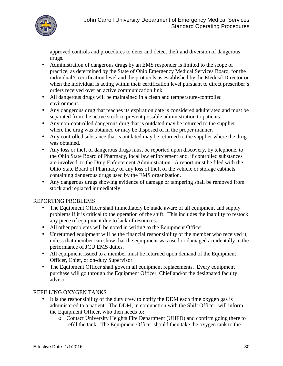

approved controls and procedures to deter and detect theft and diversion of dangerous drugs.

- Administration of dangerous drugs by an EMS responder is limited to the scope of practice, as determined by the State of Ohio Emergency Medical Services Board, for the individual's certification level and the protocols as established by the Medical Director or when the individual is acting within their certification level pursuant to direct prescriber's orders received over an active communication link.
- All dangerous drugs will be maintained in a clean and temperature-controlled environment.
- Any dangerous drug that reaches its expiration date is considered adulterated and must be separated from the active stock to prevent possible administration to patients.
- Any non-controlled dangerous drug that is outdated may be returned to the supplier where the drug was obtained or may be disposed of in the proper manner.
- Any controlled substance that is outdated may be returned to the supplier where the drug was obtained.
- Any loss or theft of dangerous drugs must be reported upon discovery, by telephone, to the Ohio State Board of Pharmacy, local law enforcement and, if controlled substances are involved, to the Drug Enforcement Administration. A report must be filed with the Ohio State Board of Pharmacy of any loss of theft of the vehicle or storage cabinets containing dangerous drugs used by the EMS organization.
- Any dangerous drugs showing evidence of damage or tampering shall be removed from stock and replaced immediately.

### REPORTING PROBLEMS

- The Equipment Officer shall immediately be made aware of all equipment and supply problems if it is critical to the operation of the shift. This includes the inability to restock any piece of equipment due to lack of resources.
- All other problems will be noted in writing to the Equipment Officer.
- Unreturned equipment will be the financial responsibility of the member who received it, unless that member can show that the equipment was used or damaged accidentally in the performance of JCU EMS duties.
- All equipment issued to a member must be returned upon demand of the Equipment Officer, Chief, or on-duty Supervisor.
- The Equipment Officer shall govern all equipment replacements. Every equipment purchase will go through the Equipment Officer, Chief and/or the designated faculty advisor.

### REFILLING OXYGEN TANKS

- It is the responsibility of the duty crew to notify the DDM each time oxygen gas is administered to a patient. The DDM, in conjunction with the Shift Officer, will inform the Equipment Officer, who then needs to:
	- o Contact University Heights Fire Department (UHFD) and confirm going there to refill the tank. The Equipment Officer should then take the oxygen tank to the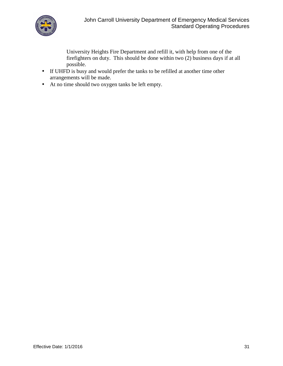

University Heights Fire Department and refill it, with help from one of the firefighters on duty. This should be done within two (2) business days if at all possible.

- If UHFD is busy and would prefer the tanks to be refilled at another time other arrangements will be made.
- At no time should two oxygen tanks be left empty.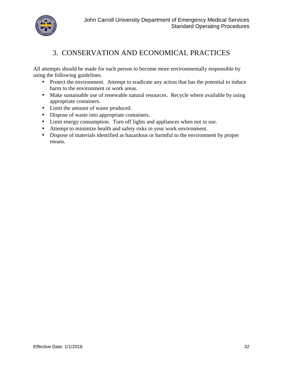

## 3. CONSERVATION AND ECONOMICAL PRACTICES

All attempts should be made for each person to become more environmentally responsible by using the following guidelines.

- Protect the environment. Attempt to eradicate any action that has the potential to induce harm to the environment or work areas.
- Make sustainable use of renewable natural resources. Recycle where available by using appropriate containers.
- Limit the amount of waste produced.
- Dispose of waste into appropriate containers.
- Limit energy consumption. Turn off lights and appliances when not in use.
- Attempt to minimize health and safety risks in your work environment.
- Dispose of materials identified as hazardous or harmful to the environment by proper means.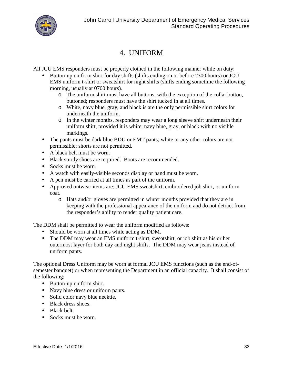

### 4. UNIFORM

All JCU EMS responders must be properly clothed in the following manner while on duty:

- Button-up uniform shirt for day shifts (shifts ending on or before 2300 hours) or JCU EMS uniform t-shirt or sweatshirt for night shifts (shifts ending sometime the following morning, usually at 0700 hours).
	- o The uniform shirt must have allbuttons, with the exception of the collar button, buttoned; responders must have the shirt tucked in at all times.
	- o White, navy blue, gray, and black is are the only permissible shirt colors for underneath the uniform.
	- o In the winter months, responders may wear a long sleeve shirt underneath their uniform shirt, provided it is white, navy blue, gray, or black with no visible markings.
- The pants must be dark blue BDU or EMT pants; white or any other colors are not permissible; shorts are not permitted.
- A black belt must be worn.
- Black sturdy shoes are required. Boots are recommended.
- Socks must be worn.
- A watch with easily-visible seconds display or hand must be worn.
- A pen must be carried at all times as part of the uniform.
- Approved outwear items are: JCU EMS sweatshirt, embroidered job shirt, or uniform coat.
	- o Hats and/or gloves are permitted in winter months provided that they are in keeping with the professional appearance of the uniform and do not detract from the responder's ability to render quality patient care.

The DDM shall be permitted to wear the uniform modified as follows:

- Should be worn at all times while acting as DDM.
- The DDM may wear an EMS uniform t-shirt, sweatshirt, or job shirt as his or her outermost layer for both day and night shifts. The DDM may wear jeans instead of uniform pants.

The optional Dress Uniform may be worn at formal JCU EMS functions (such as the end-of semester banquet) or when representing the Department in an official capacity. It shall consist of the following:

- Button-up uniform shirt.
- Navy blue dress or uniform pants.
- Solid color navy blue necktie.
- Black dress shoes.
- Black belt.
- Socks must be worn.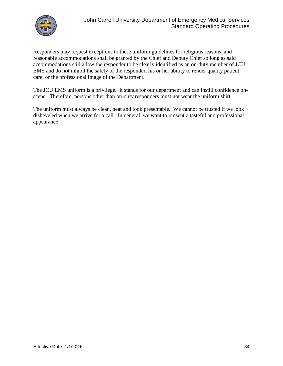

Responders may request exceptions to these uniform guidelines for religious reasons, and reasonable accommodations shall be granted by the Chief and Deputy Chief so long as said accommodations still allow the responder to be clearly identified as an on-duty member of JCU EMS and do not inhibit the safety of the responder, his or her ability to render quality patient care, or the professional image of the Department.

The JCU EMS uniform is a privilege. It stands for our department and can instill confidence on scene. Therefore, persons other than on-duty responders must not wear the uniform shirt.

The uniform must always be clean, neat and look presentable. We cannot be trusted if we look disheveled when we arrive for a call. In general, we want to present a tasteful and professional appearance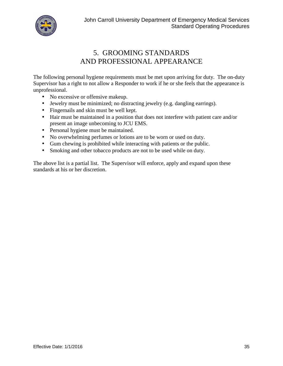

## 5. GROOMING STANDARDS AND PROFESSIONAL APPEARANCE

The following personal hygiene requirements must be met upon arriving for duty. The on-duty Supervisor has a right to not allow a Responder to work if he or she feels that the appearance is unprofessional.

- No excessive or offensive makeup.
- Jewelry must be minimized; no distracting jewelry (e.g. dangling earrings).
- Fingernails and skin must be well kept.
- Hair must be maintained in a position that does not interfere with patient care and/or present an image unbecoming to JCU EMS.
- Personal hygiene must be maintained.
- No overwhelming perfumes or lotions are to be worn or used on duty.
- Gum chewing is prohibited while interacting with patients or the public.
- Smoking and other tobacco products are not to be used while on duty.

The above list is a partial list. The Supervisor will enforce, apply and expand upon these standards at his or her discretion.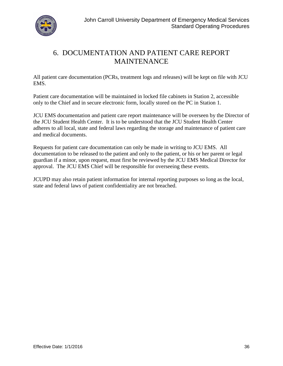

## 6. DOCUMENTATION AND PATIENT CARE REPORT **MAINTENANCE**

All patient care documentation (PCRs, treatment logs and releases) will be kept on file with JCU EMS.

Patient care documentation will be maintained in locked file cabinets in Station 2, accessible only to the Chief and in secure electronic form, locally stored on the PC in Station 1.

JCU EMS documentation and patient care report maintenance will be overseen by the Director of the JCU Student Health Center. It is to be understood that the JCU Student Health Center adheres to all local, state and federal laws regarding the storage and maintenance of patient care and medical documents.

Requests for patient care documentation can only be made in writing to JCU EMS. All documentation to be released to the patient and only to the patient, or his or her parent or legal guardian if a minor, upon request, must first be reviewed by the JCU EMS Medical Director for approval. The JCU EMS Chief will be responsible for overseeing these events.

JCUPD may also retain patient information for internal reporting purposes so long as the local, state and federal laws of patient confidentiality are not breached.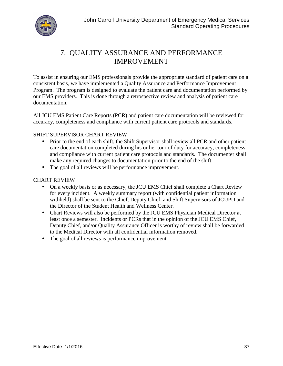

## 7. QUALITY ASSURANCE AND PERFORMANCE IMPROVEMENT

To assist in ensuring our EMS professionals provide the appropriate standard of patient care on a consistent basis, we have implemented a Quality Assurance and Performance Improvement Program. The program is designed to evaluate the patient care and documentation performed by our EMS providers. This is done through a retrospective review and analysis of patient care documentation.

All JCU EMS Patient Care Reports (PCR) and patient care documentation will be reviewed for accuracy, completeness and compliance with current patient care protocols and standards.

### SHIFT SUPERVISOR CHART REVIEW

- Prior to the end of each shift, the Shift Supervisor shall review all PCR and other patient care documentation completed during his or her tour of duty for accuracy, completeness and compliance with current patient care protocols and standards. The documenter shall make any required changes to documentation prior to the end of the shift.
- The goal of all reviews will be performance improvement.

### CHART REVIEW

- On a weekly basis or as necessary, the JCU EMS Chief shall complete a Chart Review for every incident. A weekly summary report (with confidential patient information withheld) shall be sent to the Chief, Deputy Chief, and Shift Supervisors of JCUPD and the Director of the Student Health and Wellness Center.
- Chart Reviews will also be performed by the JCU EMS Physician Medical Director at least once a semester. Incidents or PCRs that in the opinion of the JCU EMS Chief, Deputy Chief, and/or Quality Assurance Officer is worthy of review shall be forwarded to the Medical Director with all confidential information removed.
- The goal of all reviews is performance improvement.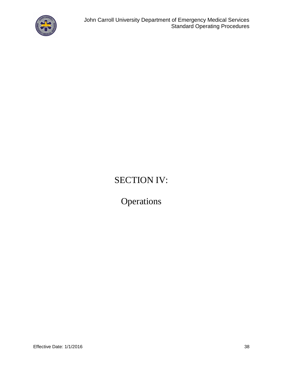

# SECTION IV:

**Operations**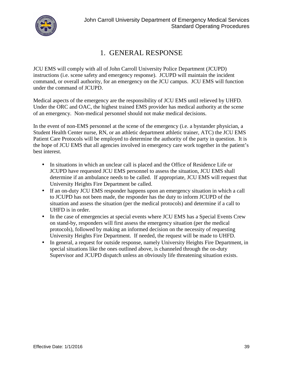

### 1. GENERAL RESPONSE

JCU EMS will comply with all of John Carroll University Police Department (JCUPD) instructions (i.e. scene safety and emergency response). JCUPD will maintain the incident command, or overall authority, for an emergency on the JCU campus. JCU EMS will function under the command of JCUPD.

Medical aspects of the emergency are the responsibility of JCU EMS untilrelieved by UHFD. Under the ORC and OAC, the highest trained EMS provider has medical authority at the scene of an emergency. Non-medical personnel should not make medical decisions.

In the event of non-EMS personnel at the scene of the emergency (i.e. a bystander physician, a Student Health Center nurse, RN, or an athletic department athletic trainer, ATC) the JCU EMS Patient Care Protocols will be employed to determine the authority of the party in question. It is the hope of JCU EMS that all agencies involved in emergency care work together in the patient's best interest.

- In situations in which an unclear call is placed and the Office of Residence Life or JCUPD have requested JCU EMS personnel to assess the situation, JCU EMS shall determine if an ambulance needs to be called. If appropriate, JCU EMS will request that University Heights Fire Department be called.
- If an on-duty JCU EMS responder happens upon an emergency situation in which a call to JCUPD has not been made, the responder has the duty to inform JCUPD of the situation and assess the situation (per the medical protocols) and determine if a call to UHFD is in order.
- In the case of emergencies at special events where JCU EMS has a Special Events Crew on stand-by, responders will first assess the emergency situation (per the medical protocols), followed by making an informed decision on the necessity of requesting University Heights Fire Department. If needed, the request will be made to UHFD.
- In general, a request for outside response, namely University Heights Fire Department, in special situations like the ones outlined above, is channeled through the on-duty Supervisor and JCUPD dispatch unless an obviously life threatening situation exists.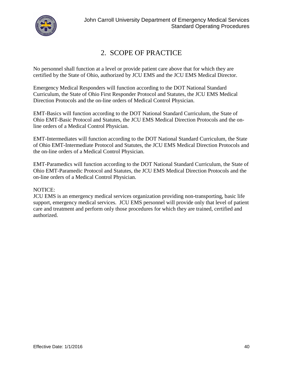

### 2. SCOPE OF PRACTICE

No personnel shall function at a level or provide patient care above that for which they are certified by the State of Ohio, authorized by JCU EMS and the JCU EMS Medical Director.

Emergency Medical Responders will function according to the DOT National Standard Curriculum, the State of Ohio First Responder Protocol and Statutes, the JCU EMS Medical Direction Protocols and the on-line orders of Medical Control Physician.

EMT-Basics will function according to the DOT National Standard Curriculum, the State of Ohio EMT-Basic Protocol and Statutes, the JCU EMS Medical Direction Protocols and the online orders of a Medical Control Physician.

EMT-Intermediates will function according to the DOT National Standard Curriculum, the State of Ohio EMT-Intermediate Protocol and Statutes, the JCU EMS Medical Direction Protocols and the on-line orders of a Medical Control Physician.

EMT-Paramedics will function according to the DOT National Standard Curriculum, the State of Ohio EMT-Paramedic Protocol and Statutes, the JCU EMS Medical Direction Protocols and the on-line orders of a Medical Control Physician.

### NOTICE:

JCU EMS is an emergency medical services organization providing non-transporting, basic life support, emergency medical services. JCU EMS personnel will provide only that level of patient care and treatment and perform only those procedures for which they are trained, certified and authorized.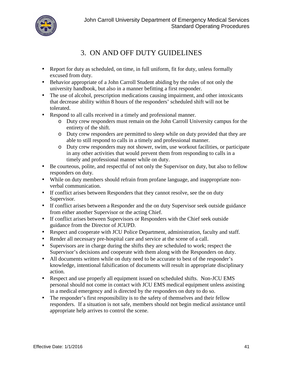

### 3. ON AND OFF DUTY GUIDELINES

- Report for duty as scheduled, on time, in full uniform, fit for duty, unless formally excused from duty.
- Behavior appropriate of a John Carroll Student abiding by the rules of not only the university handbook, but also in a manner befitting a first responder.
- The use of alcohol, prescription medications causing impairment, and other intoxicants that decrease ability within 8 hours of the responders' scheduled shift will not be tolerated.
- Respond to all calls received in a timely and professional manner.
	- o Duty crew responders must remain on the John Carroll University campus for the entirety of the shift.
	- o Duty crew responders are permitted to sleep while on duty provided that they are able to still respond to calls in a timely and professional manner.
	- o Duty crew responders may not shower, swim, use workout facilities, or participate in any other activities that would prevent them from responding to calls in a timely and professional manner while on duty.
- Be courteous, polite, and respectful of not only the Supervisor on duty, but also to fellow responders on duty.
- While on duty members should refrain from profane language, and inappropriate non verbal communication.
- If conflict arises between Responders that they cannot resolve, see the on duty Supervisor.
- If conflict arises between a Responder and the on duty Supervisor seek outside guidance from either another Supervisor or the acting Chief.
- If conflict arises between Supervisors or Responders with the Chief seek outside guidance from the Director of JCUPD.
- Respect and cooperate with JCU Police Department, administration, faculty and staff.
- Render all necessary pre-hospital care and service at the scene of a call.
- Supervisors are in charge during the shifts they are scheduled to work; respect the Supervisor's decisions and cooperate with them along with the Responders on duty.
- All documents written while on duty need to be accurate to best of the responder's knowledge, intentional falsification of documents will result in appropriate disciplinary action.
- Respect and use properly all equipment issued on scheduled shifts. Non-JCU EMS personal should not come in contact with JCU EMS medical equipment unless assisting in a medical emergency and is directed by the responders on duty to do so.
- The responder's first responsibility is to the safety of themselves and their fellow responders. If a situation is not safe, members should not begin medical assistance until appropriate help arrives to control the scene.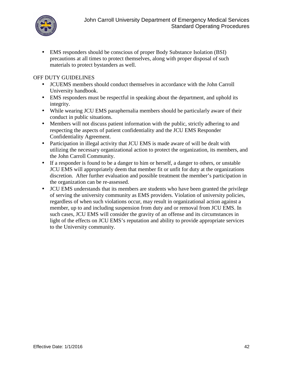

 EMS responders should be conscious of proper Body Substance Isolation (BSI) precautions at all times to protect themselves, along with proper disposal of such materials to protect bystanders as well.

### OFF DUTY GUIDELINES

- JCUEMS members should conduct themselves in accordance with the John Carroll University handbook.
- EMS responders must be respectful in speaking about the department, and uphold its integrity.
- While wearing JCU EMS paraphernalia members should be particularly aware of their conduct in public situations.
- Members will not discuss patient information with the public, strictly adhering to and respecting the aspects of patient confidentiality and the JCU EMS Responder Confidentiality Agreement.
- Participation in illegal activity that JCU EMS is made aware of will be dealt with utilizing the necessary organizational action to protect the organization, its members, and the John Carroll Community.
- If a responder is found to be a danger to him or herself, a danger to others, or unstable JCU EMS will appropriately deem that member fit or unfit for duty at the organizations discretion. After further evaluation and possible treatment the member's participation in the organization can be re-assessed.
- JCU EMS understands that its members are students who have been granted the privilege of serving the university community as EMS providers. Violation of university policies, regardless of when such violations occur, may result in organizational action against a member, up to and including suspension from duty and or removal from JCU EMS. In such cases, JCU EMS will consider the gravity of an offense and its circumstances in light of the effects on JCU EMS's reputation and ability to provide appropriate services to the University community.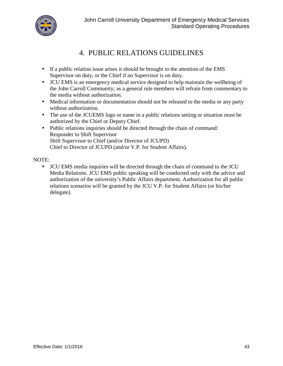

## 4. PUBLIC RELATIONS GUIDELINES

- If a public relation issue arises it should be brought to the attention of the EMS Supervisor on duty, or the Chief if no Supervisor is on duty.
- JCU EMS is an emergency medical service designed to help maintain the wellbeing of the John Carroll Community; as a general rule members will refrain from commentary to the media without authorization.
- Medical information or documentation should not be released to the media or any party without authorization.
- The use of the JCUEMS logo or name in a public relations setting or situation must be authorized by the Chief or Deputy Chief.
- Public relations inquiries should be directed through the chain of command: Responder to Shift Supervisor Shift Supervisor to Chief (and/or Director of JCUPD) Chief to Director of JCUPD (and/or V.P. for Student Affairs).

### NOTE:

 JCU EMS media inquiries will be directed through the chain of command to the JCU Media Relations. JCU EMS public speaking will be conducted only with the advice and authorization of the university's Public Affairs department. Authorization for all public relations scenarios will be granted by the JCU V.P. for Student Affairs (or his/her delegate).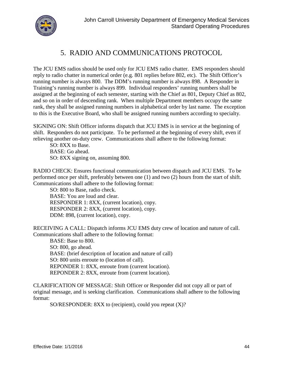

## 5. RADIO AND COMMUNICATIONS PROTOCOL

The JCU EMS radios should be used only for JCU EMS radio chatter. EMS responders should reply to radio chatter in numerical order (e.g. 801 replies before 802, etc). The Shift Officer's running number is always 800. The DDM's running number is always 898. A Responder in Training's running number is always 899. Individual responders' running numbers shall be assigned at the beginning of each semester, starting with the Chief as 801, Deputy Chief as 802, and so on in order of descending rank. When multiple Department members occupy the same rank, they shall be assigned running numbers in alphabetical order by last name. The exception to this is the Executive Board, who shall be assigned running numbers according to specialty.

SIGNING ON: Shift Officer informs dispatch that JCU EMS is in service at the beginning of shift. Responders do not participate. To be performed at the beginning of every shift, even if relieving another on-duty crew. Communications shall adhere to the following format:

SO: 8XX to Base. BASE: Go ahead. SO: 8XX signing on, assuming 800.

RADIO CHECK: Ensures functional communication between dispatch and JCU EMS. To be performed once per shift, preferably between one (1) and two (2) hours from the start of shift. Communications shall adhere to the following format:

SO: 800 to Base, radio check. BASE: You are loud and clear. RESPONDER 1: 8XX, (current location), copy. RESPONDER 2: 8XX, (current location), copy. DDM: 898, (current location), copy.

RECEIVING A CALL: Dispatch informs JCU EMS duty crew of location and nature of call. Communications shall adhere to the following format:

BASE: Base to 800. SO: 800, go ahead. BASE: (brief description of location and nature of call) SO: 800 units enroute to (location of call). REPONDER 1: 8XX, enroute from (current location). REPONDER 2: 8XX, enroute from (current location).

CLARIFICATION OF MESSAGE: Shift Officer or Responder did not copy all or part of original message, and is seeking clarification. Communications shall adhere to the following format:

SO/RESPONDER: 8XX to (recipient), could you repeat (X)?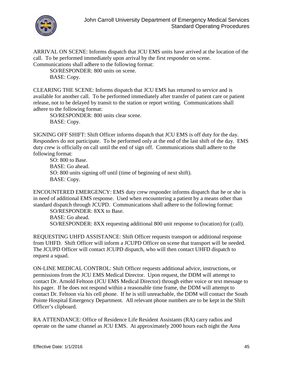

ARRIVAL ON SCENE: Informs dispatch that JCU EMS units have arrived at the location of the call. To be performed immediately upon arrival by the first responder on scene. Communications shall adhere to the following format:

SO/RESPONDER: 800 units on scene. BASE: Copy.

CLEARING THE SCENE: Informs dispatch that JCU EMS has returned to service and is available for another call. To be performed immediately after transfer of patient care or patient release, not to be delayed by transit to the station or report writing. Communications shall adhere to the following format:

SO/RESPONDER: 800 units clear scene. BASE: Copy.

SIGNING OFF SHIFT: Shift Officer informs dispatch that JCU EMS is off duty for the day. Responders do not participate. To be performed only at the end of the last shift of the day. EMS duty crew is officially on call until the end of sign off. Communications shall adhere to the following format:

SO: 800 to Base. BASE: Go ahead. SO: 800 units signing off until (time of beginning of next shift). BASE: Copy.

ENCOUNTERED EMERGENCY: EMS duty crew responder informs dispatch that he or she is in need of additional EMS response. Used when encountering a patient by a means other than standard dispatch through JCUPD. Communications shall adhere to the following format:

SO/RESPONDER: 8XX to Base. BASE: Go ahead. SO/RESPONDER: 8XX requesting additional 800 unit response to (location) for (call).

REQUESTING UHFD ASSISTANCE: Shift Officer requests transport or additional response from UHFD. Shift Officer will inform a JCUPD Officer on scene that transport will be needed. The JCUPD Officer will contact JCUPD dispatch, who will then contact UHFD dispatch to request a squad.

ON-LINE MEDICAL CONTROL: Shift Officer requests additional advice, instructions, or permissions from the JCU EMS Medical Director. Upon request, the DDM will attempt to contact Dr. Arnold Feltoon (JCU EMS Medical Director) through either voice or text message to his pager. If he does not respond within a reasonable time frame, the DDM will attempt to contact Dr. Feltoon via his cell phone. If he is still unreachable, the DDM will contact the South Pointe Hospital Emergency Department. All relevant phone numbers are to be kept in the Shift Officer's clipboard.

RA ATTENDANCE: Office of Residence Life Resident Assistants (RA) carry radios and operate on the same channel as JCU EMS. At approximately 2000 hours each night the Area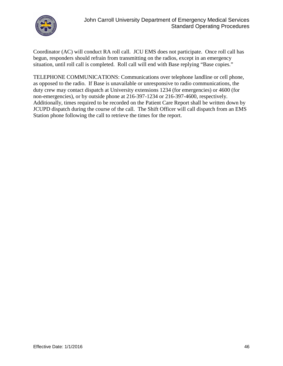

Coordinator (AC) will conduct RA roll call. JCU EMS does not participate. Once roll call has begun, responders should refrain from transmitting on the radios, except in an emergency situation, until roll call is completed. Roll call will end with Base replying "Base copies."

TELEPHONE COMMUNICATIONS: Communications over telephone landline or cell phone, as opposed to the radio. If Base is unavailable or unresponsive to radio communications, the duty crew may contact dispatch at University extensions 1234 (for emergencies) or 4600 (for non-emergencies), or by outside phone at 216-397-1234 or 216-397-4600, respectively. Additionally, times required to be recorded on the Patient Care Report shall be written down by JCUPD dispatch during the course of the call. The Shift Officer will call dispatch from an EMS Station phone following the call to retrieve the times for the report.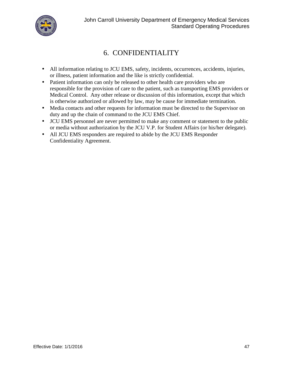

# 6. CONFIDENTIALITY

- All information relating to JCU EMS, safety, incidents, occurrences, accidents, injuries, or illness, patient information and the like is strictly confidential.
- Patient information can only be released to other health care providers who are responsible for the provision of care to the patient, such as transporting EMS providers or Medical Control. Any other release or discussion of this information, except that which is otherwise authorized or allowed by law, may be cause for immediate termination.
- Media contacts and other requests for information must be directed to the Supervisor on duty and up the chain of command to the JCU EMS Chief.
- JCU EMS personnel are never permitted to make any comment or statement to the public or media without authorization by the JCU V.P. for Student Affairs (or his/her delegate).
- All JCU EMS responders are required to abide by the JCU EMS Responder Confidentiality Agreement.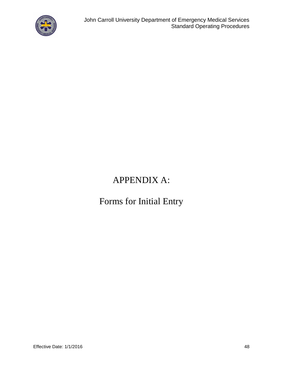

# APPENDIX A:

# Forms for Initial Entry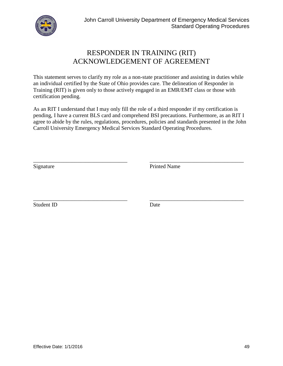

### RESPONDER IN TRAINING (RIT) ACKNOWLEDGEMENT OF AGREEMENT

This statement serves to clarify my role as a non-state practitioner and assisting in duties while an individual certified by the State of Ohio provides care. The delineation of Responder in Training (RIT) is given only to those actively engaged in an EMR/EMT class or those with certification pending.

As an RIT I understand that I may only fill the role of a third responder if my certification is pending, I have a current BLS card and comprehend BSI precautions. Furthermore, as an RIT I agree to abide by the rules, regulations, procedures, policies and standards presented in the John Carroll University Emergency Medical Services Standard Operating Procedures.

Signature Printed Name

\_\_\_\_\_\_\_\_\_\_\_\_\_\_\_\_\_\_\_\_\_\_\_\_\_\_\_\_\_\_\_\_\_\_ \_\_\_\_\_\_\_\_\_\_\_\_\_\_\_\_\_\_\_\_\_\_\_\_\_\_\_\_\_\_\_\_\_\_ Student ID Date

\_\_\_\_\_\_\_\_\_\_\_\_\_\_\_\_\_\_\_\_\_\_\_\_\_\_\_\_\_\_\_\_\_\_ \_\_\_\_\_\_\_\_\_\_\_\_\_\_\_\_\_\_\_\_\_\_\_\_\_\_\_\_\_\_\_\_\_\_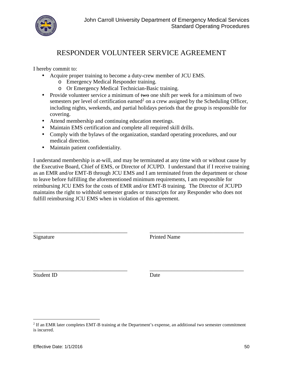

### RESPONDER VOLUNTEER SERVICE AGREEMENT

I hereby commit to:

- Acquire proper training to become a duty-crew member of JCU EMS.
	- o Emergency Medical Responder training.
	- o OrEmergency Medical Technician-Basic training.
- Provide volunteer service a minimum of two one shift per week for a minimum of two semesters per level of certification earned<sup>2</sup> on a crew assigned by the Scheduling Officer, including nights, weekends, and partial holidays periods that the group is responsible for covering.
- Attend membership and continuing education meetings.
- Maintain EMS certification and complete all required skill drills.
- Comply with the bylaws of the organization, standard operating procedures, and our medical direction.
- Maintain patient confidentiality.

I understand membership is at-will, and may be terminated at any time with or without cause by the Executive Board, Chief of EMS, or Director of JCUPD. I understand that if I receive training as an EMR and/or EMT-B through JCU EMS and I am terminated from the department or chose to leave before fulfilling the aforementioned minimum requirements, I am responsible for reimbursing JCU EMS for the costs of EMR and/or EMT-B training. The Director of JCUPD maintains the right to withhold semester grades or transcripts for any Responder who does not fulfill reimbursing JCU EMS when in violation of this agreement.

| Signature  | <b>Printed Name</b> |  |
|------------|---------------------|--|
|            |                     |  |
| Student ID | Date                |  |

<sup>&</sup>lt;sup>2</sup> If an EMR later completes EMT-B training at the Department's expense, an additional two semester commitment is incurred.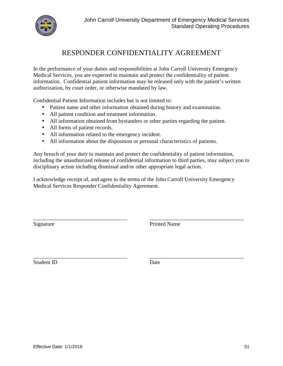

### RESPONDER CONFIDENTIALITY AGREEMENT

In the performance of your duties and responsibilities at John Carroll University Emergency Medical Services, you are expected to maintain and protect the confidentiality of patient information. Confidential patient information may be released only with the patient's written authorization, by court order, or otherwise mandated by law.

Confidential Patient Information includes but is not limited to:

- Patient name and other information obtained during history and examination.
- All patient condition and treatment information.
- All information obtained from bystanders or other parties regarding the patient.
- All forms of patient records.
- All information related to the emergency incident.
- All information about the disposition or personal characteristics of patients.

Any breach of your duty to maintain and protect the confidentiality of patient information, including the unauthorized release of confidential information to third parties, may subject you to disciplinary action including dismissal and/or other appropriate legal action.

I acknowledge receipt of, and agree to the terms of the John Carroll University Emergency Medical Services Responder Confidentiality Agreement.

Signature Printed Name

\_\_\_\_\_\_\_\_\_\_\_\_\_\_\_\_\_\_\_\_\_\_\_\_\_\_\_\_\_\_\_\_\_\_ \_\_\_\_\_\_\_\_\_\_\_\_\_\_\_\_\_\_\_\_\_\_\_\_\_\_\_\_\_\_\_\_\_\_ Student ID Date

\_\_\_\_\_\_\_\_\_\_\_\_\_\_\_\_\_\_\_\_\_\_\_\_\_\_\_\_\_\_\_\_\_\_ \_\_\_\_\_\_\_\_\_\_\_\_\_\_\_\_\_\_\_\_\_\_\_\_\_\_\_\_\_\_\_\_\_\_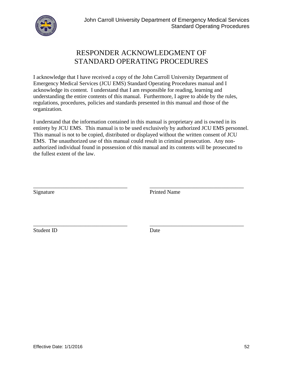

### RESPONDER ACKNOWLEDGMENT OF STANDARD OPERATING PROCEDURES

I acknowledge that I have received a copy of the John Carroll University Department of Emergency Medical Services (JCU EMS) Standard Operating Procedures manual and I acknowledge its content. I understand that I am responsible for reading, learning and understanding the entire contents of this manual. Furthermore, I agree to abide by the rules, regulations, procedures, policies and standards presented in this manual and those of the organization.

I understand that the information contained in this manual is proprietary and is owned in its entirety by JCU EMS. This manual is to be used exclusively by authorized JCU EMS personnel. This manual is not to be copied, distributed or displayed without the written consent of JCU EMS. The unauthorized use of this manual could result in criminal prosecution. Any non authorized individual found in possession of this manual and its contents will be prosecuted to the fullest extent of the law.

\_\_\_\_\_\_\_\_\_\_\_\_\_\_\_\_\_\_\_\_\_\_\_\_\_\_\_\_\_\_\_\_\_\_ \_\_\_\_\_\_\_\_\_\_\_\_\_\_\_\_\_\_\_\_\_\_\_\_\_\_\_\_\_\_\_\_\_\_ Signature Printed Name

Student ID Date

\_\_\_\_\_\_\_\_\_\_\_\_\_\_\_\_\_\_\_\_\_\_\_\_\_\_\_\_\_\_\_\_\_\_ \_\_\_\_\_\_\_\_\_\_\_\_\_\_\_\_\_\_\_\_\_\_\_\_\_\_\_\_\_\_\_\_\_\_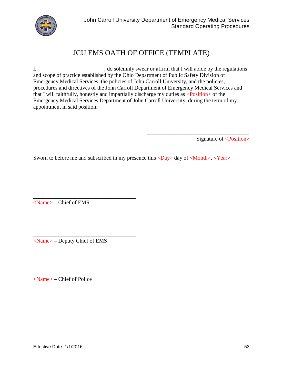

## JCU EMS OATH OF OFFICE (TEMPLATE)

I, \_\_\_\_\_\_\_\_\_\_\_\_\_\_\_\_\_\_\_\_\_, do solemnly swear or affirm that I will abide by the regulations and scope of practice established by the Ohio Department of Public Safety Division of Emergency Medical Services, the policies of John Carroll University, and the policies, procedures and directives of the John Carroll Department of Emergency Medical Services and that I will faithfully, honestly and impartially discharge my duties as <Position> of the Emergency Medical Services Department of John Carroll University, during the term of my appointment in said position.

Signature of <Position>

\_\_\_\_\_\_\_\_\_\_\_\_\_\_\_\_\_\_\_\_\_\_\_\_\_\_\_\_\_\_\_\_\_\_\_\_\_

Sworn to before me and subscribed in my presence this  $\langle Day \rangle$  day of  $\langle Monthly, \langle Year \rangle$ 

<Name> – Chief of EMS

\_\_\_\_\_\_\_\_\_\_\_\_\_\_\_\_\_\_\_\_\_\_\_\_\_\_\_\_\_\_\_\_\_\_\_\_\_ <Name> – Deputy Chief of EMS

\_\_\_\_\_\_\_\_\_\_\_\_\_\_\_\_\_\_\_\_\_\_\_\_\_\_\_\_\_\_\_\_\_\_\_\_\_

\_\_\_\_\_\_\_\_\_\_\_\_\_\_\_\_\_\_\_\_\_\_\_\_\_\_\_\_\_\_\_\_\_\_\_\_\_

<Name> – Chief of Police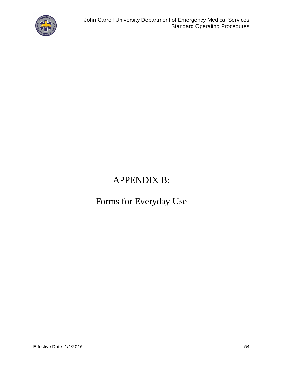

# APPENDIX B:

# Forms for Everyday Use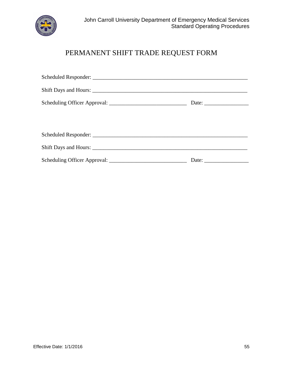

# PERMANENT SHIFT TRADE REQUEST FORM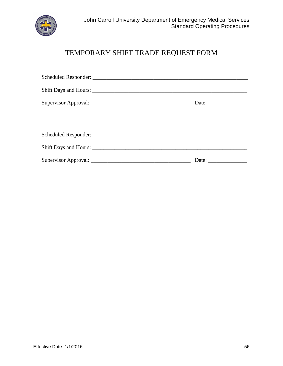

# TEMPORARY SHIFT TRADE REQUEST FORM

| Date: $\frac{1}{\sqrt{1-\frac{1}{2}} \cdot \frac{1}{2}}$ |
|----------------------------------------------------------|
|                                                          |
|                                                          |
|                                                          |
|                                                          |
| Date: $\frac{1}{\sqrt{1-\frac{1}{2}} \cdot \frac{1}{2}}$ |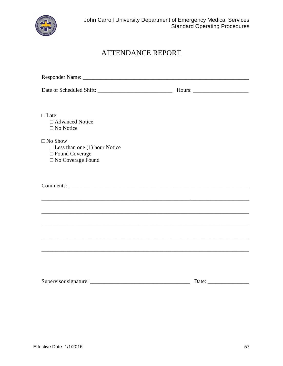

# ATTENDANCE REPORT

| Late                                                                                                                  |  |  |
|-----------------------------------------------------------------------------------------------------------------------|--|--|
| <b>Advanced Notice</b>                                                                                                |  |  |
| No Notice                                                                                                             |  |  |
| No Show                                                                                                               |  |  |
| Less than one (1) hour Notice                                                                                         |  |  |
| Found Coverage                                                                                                        |  |  |
| No Coverage Found                                                                                                     |  |  |
|                                                                                                                       |  |  |
|                                                                                                                       |  |  |
|                                                                                                                       |  |  |
|                                                                                                                       |  |  |
| <u> 1989 - John Stoff, deutscher Stoff, der Stoff, der Stoff, der Stoff, der Stoff, der Stoff, der Stoff, der Sto</u> |  |  |
|                                                                                                                       |  |  |
|                                                                                                                       |  |  |
|                                                                                                                       |  |  |
|                                                                                                                       |  |  |
|                                                                                                                       |  |  |
|                                                                                                                       |  |  |
|                                                                                                                       |  |  |
|                                                                                                                       |  |  |
|                                                                                                                       |  |  |
|                                                                                                                       |  |  |
|                                                                                                                       |  |  |

| $\sim$<br>Supervisor signature: |  |  |
|---------------------------------|--|--|
|                                 |  |  |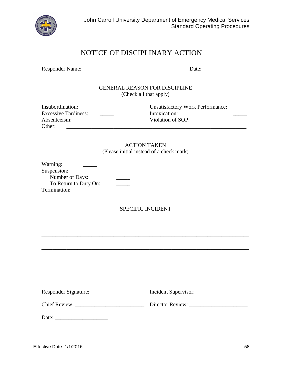

# NOTICE OF DISCIPLINARY ACTION

|                                                                                     | <b>GENERAL REASON FOR DISCIPLINE</b><br>(Check all that apply)                                                           |
|-------------------------------------------------------------------------------------|--------------------------------------------------------------------------------------------------------------------------|
| Insubordination:<br><b>Excessive Tardiness:</b><br>Absenteeism:<br>Other:           | <b>Unsatisfactory Work Performance:</b><br>Intoxication:<br>$\mathcal{L}^{\text{max}}_{\text{max}}$<br>Violation of SOP: |
|                                                                                     | <b>ACTION TAKEN</b><br>(Please initial instead of a check mark)                                                          |
| Warning:<br>Suspension:<br>Number of Days:<br>To Return to Duty On:<br>Termination: |                                                                                                                          |
|                                                                                     | <b>SPECIFIC INCIDENT</b>                                                                                                 |
|                                                                                     |                                                                                                                          |
|                                                                                     |                                                                                                                          |
|                                                                                     |                                                                                                                          |
|                                                                                     |                                                                                                                          |
|                                                                                     |                                                                                                                          |
|                                                                                     |                                                                                                                          |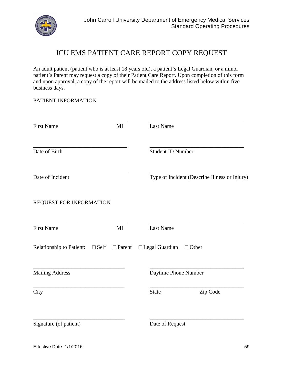

### JCU EMS PATIENT CARE REPORT COPY REQUEST

An adult patient (patient who is at least 18 years old), a patient's Legal Guardian, or a minor patient's Parent may request a copy of their Patient Care Report. Upon completion of this form and upon approval, a copy of the report will be mailed to the address listed below within five business days.

#### PATIENT INFORMATION

| <b>First Name</b>                | MI     | Last Name                                     |
|----------------------------------|--------|-----------------------------------------------|
| Date of Birth                    |        | <b>Student ID Number</b>                      |
| Date of Incident                 |        | Type of Incident (Describe Illness or Injury) |
| REQUEST FOR INFORMATION          |        |                                               |
| <b>First Name</b>                | MI     | Last Name                                     |
| Relationship to Patient:<br>Self | Parent | Legal Guardian<br>Other                       |
| <b>Mailing Address</b>           |        | Daytime Phone Number                          |
| City                             |        | <b>State</b><br>Zip Code                      |
| Signature (of patient)           |        | Date of Request                               |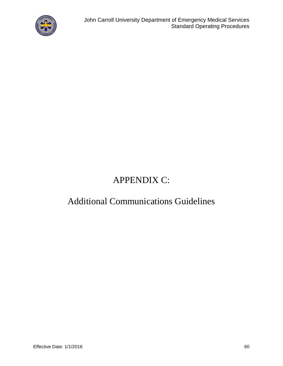

# APPENDIX C:

# Additional Communications Guidelines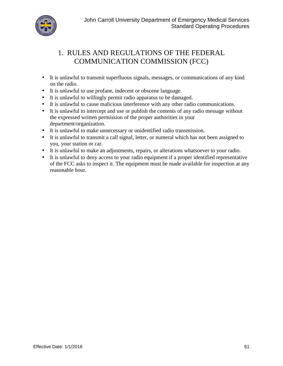

# 1. RULES AND REGULATIONS OF THE FEDERAL COMMUNICATION COMMISSION (FCC)

- It is unlawful to transmit superfluous signals, messages, or communications of any kind on the radio.
- It is unlawful to use profane, indecent or obscene language.
- It is unlawful to willingly permit radio apparatus to be damaged.
- It is unlawful to cause malicious interference with any other radio communications.
- It is unlawful to intercept and use or publish the contents of any radio message without the expressed written permission of the proper authorities in your department/organization.
- It is unlawful to make unnecessary or unidentified radio transmission.
- It is unlawful to transmit a call signal, letter, or numeral which has not been assigned to you, your station or car.
- It is unlawful to make an adjustments, repairs, or alterations whatsoever to your radio.
- It is unlawful to deny access to your radio equipment if a proper identified representative of the FCC asks to inspect it. The equipment must be made available for inspection at any reasonable hour.